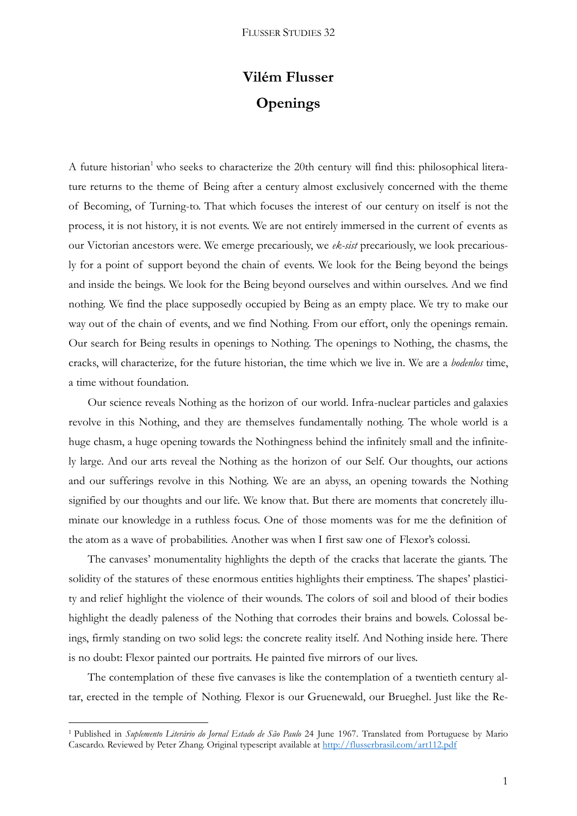## **Vilém Flusser Openings**

A future historian<sup>1</sup> who seeks to characterize the 20th century will find this: philosophical literature returns to the theme of Being after a century almost exclusively concerned with the theme of Becoming, of Turning-to. That which focuses the interest of our century on itself is not the process, it is not history, it is not events. We are not entirely immersed in the current of events as our Victorian ancestors were. We emerge precariously, we *ek-sist* precariously, we look precariously for a point of support beyond the chain of events. We look for the Being beyond the beings and inside the beings. We look for the Being beyond ourselves and within ourselves. And we find nothing. We find the place supposedly occupied by Being as an empty place. We try to make our way out of the chain of events, and we find Nothing. From our effort, only the openings remain. Our search for Being results in openings to Nothing. The openings to Nothing, the chasms, the cracks, will characterize, for the future historian, the time which we live in. We are a *bodenlos* time, a time without foundation.

Our science reveals Nothing as the horizon of our world. Infra-nuclear particles and galaxies revolve in this Nothing, and they are themselves fundamentally nothing. The whole world is a huge chasm, a huge opening towards the Nothingness behind the infinitely small and the infinitely large. And our arts reveal the Nothing as the horizon of our Self. Our thoughts, our actions and our sufferings revolve in this Nothing. We are an abyss, an opening towards the Nothing signified by our thoughts and our life. We know that. But there are moments that concretely illuminate our knowledge in a ruthless focus. One of those moments was for me the definition of the atom as a wave of probabilities. Another was when I first saw one of Flexor's colossi.

The canvases' monumentality highlights the depth of the cracks that lacerate the giants. The solidity of the statures of these enormous entities highlights their emptiness. The shapes' plasticity and relief highlight the violence of their wounds. The colors of soil and blood of their bodies highlight the deadly paleness of the Nothing that corrodes their brains and bowels. Colossal beings, firmly standing on two solid legs: the concrete reality itself. And Nothing inside here. There is no doubt: Flexor painted our portraits. He painted five mirrors of our lives.

The contemplation of these five canvases is like the contemplation of a twentieth century altar, erected in the temple of Nothing. Flexor is our Gruenewald, our Brueghel. Just like the Re-

**.** 

<sup>1</sup> Published in *Suplemento Literário do Jornal Estado de São Paulo* 24 June 1967. Translated from Portuguese by Mario Cascardo. Reviewed by Peter Zhang. Original typescript available at<http://flusserbrasil.com/art112.pdf>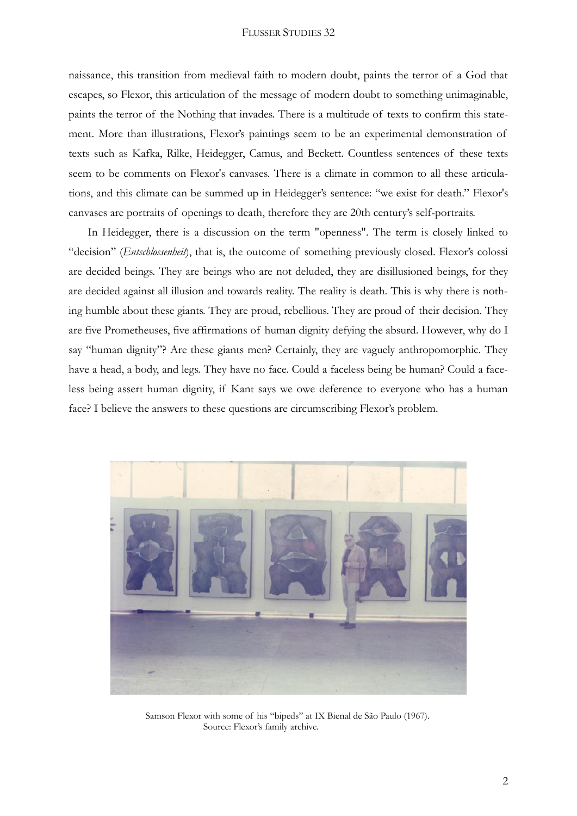## FLUSSER STUDIES 32

naissance, this transition from medieval faith to modern doubt, paints the terror of a God that escapes, so Flexor, this articulation of the message of modern doubt to something unimaginable, paints the terror of the Nothing that invades. There is a multitude of texts to confirm this statement. More than illustrations, Flexor's paintings seem to be an experimental demonstration of texts such as Kafka, Rilke, Heidegger, Camus, and Beckett. Countless sentences of these texts seem to be comments on Flexor's canvases. There is a climate in common to all these articulations, and this climate can be summed up in Heidegger's sentence: "we exist for death." Flexor's canvases are portraits of openings to death, therefore they are 20th century's self-portraits.

In Heidegger, there is a discussion on the term "openness". The term is closely linked to "decision" (*Entschlossenheit*), that is, the outcome of something previously closed. Flexor's colossi are decided beings. They are beings who are not deluded, they are disillusioned beings, for they are decided against all illusion and towards reality. The reality is death. This is why there is nothing humble about these giants. They are proud, rebellious. They are proud of their decision. They are five Prometheuses, five affirmations of human dignity defying the absurd. However, why do I say "human dignity"? Are these giants men? Certainly, they are vaguely anthropomorphic. They have a head, a body, and legs. They have no face. Could a faceless being be human? Could a faceless being assert human dignity, if Kant says we owe deference to everyone who has a human face? I believe the answers to these questions are circumscribing Flexor's problem.



Samson Flexor with some of his "bipeds" at IX Bienal de São Paulo (1967). Source: Flexor's family archive.